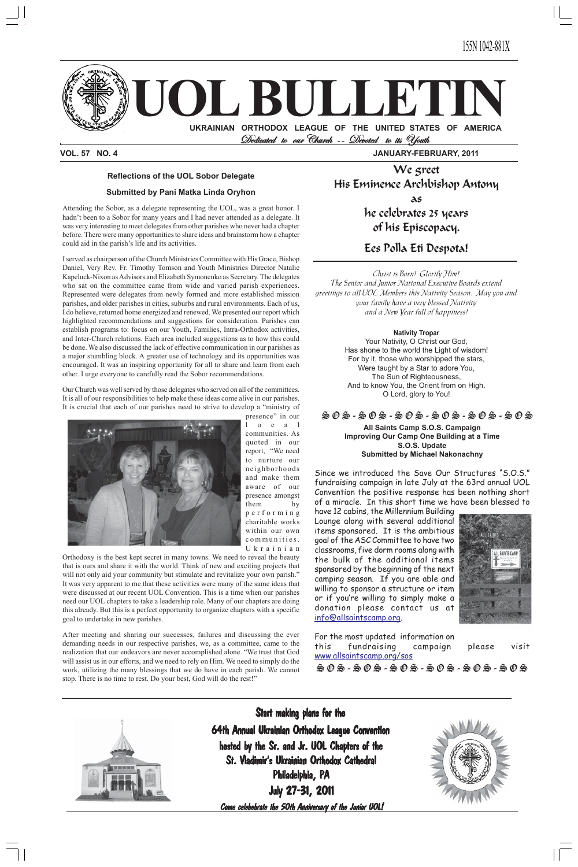**UOL BULLETIN**

 **UKRAINIAN ORTHODOX LEAGUE OF THE UNITED STATES OF AMERICA** Dedicated to our Church -- Devoted to its Youth

64th Annual Ukrainian Orthodox League Convention 64th Annual Ukrainian League Convention hosted by the Sr. and Jr. UOL Chapters of the St. Vladimir's Ukrainian Orthodox Cathedral Philadelphia, PA **July 27-31, 2011** 

Come celebebrate the 50th Anniversary of the Junior UOL!



**VOL. 57 NO. 4 JANUARY-FEBRUARY, 2011**

#### **Reflections of the UOL Sobor Delegate**

#### **Submitted by Pani Matka Linda Oryhon**

Attending the Sobor, as a delegate representing the UOL, was a great honor. I hadn't been to a Sobor for many years and I had never attended as a delegate. It was very interesting to meet delegates from other parishes who never had a chapter before. There were many opportunities to share ideas and brainstorm how a chapter could aid in the parish's life and its activities.

I served as chairperson of the Church Ministries Committee with His Grace, Bishop Daniel, Very Rev. Fr. Timothy Tomson and Youth Ministries Director Natalie Kapeluck-Nixon as Advisors and Elizabeth Symonenko as Secretary. The delegates who sat on the committee came from wide and varied parish experiences. Represented were delegates from newly formed and more established mission parishes, and older parishes in cities, suburbs and rural environments. Each of us, I do believe, returned home energized and renewed. We presented our report which highlighted recommendations and suggestions for consideration. Parishes can establish programs to: focus on our Youth, Families, Intra-Orthodox activities, and Inter-Church relations. Each area included suggestions as to how this could be done. We also discussed the lack of effective communication in our parishes as a major stumbling block. A greater use of technology and its opportunities was encouraged. It was an inspiring opportunity for all to share and learn from each other. I urge everyone to carefully read the Sobor recommendations.

Our Church was well served by those delegates who served on all of the committees. It is all of our responsibilities to help make these ideas come alive in our parishes. It is crucial that each of our parishes need to strive to develop a "ministry of



presence" in our o c a l communities. As quoted in our report, "We need to nurture our neighborhoods and make them aware of our presence amongst them by performing charitable works within our own communities. Ukrainian

Orthodoxy is the best kept secret in many towns. We need to reveal the beauty that is ours and share it with the world. Think of new and exciting projects that will not only aid your community but stimulate and revitalize your own parish." It was very apparent to me that these activities were many of the same ideas that were discussed at our recent UOL Convention. This is a time when our parishes need our UOL chapters to take a leadership role. Many of our chapters are doing this already. But this is a perfect opportunity to organize chapters with a specific goal to undertake in new parishes.

After meeting and sharing our successes, failures and discussing the ever demanding needs in our respective parishes, we, as a committee, came to the realization that our endeavors are never accomplished alone. "We trust that God will assist us in our efforts, and we need to rely on Him. We need to simply do the work, utilizing the many blessings that we do have in each parish. We cannot stop. There is no time to rest. Do your best, God will do the rest!"

**All Saints Camp S.O.S. Campaign Improving Our Camp One Building at a Time S.O.S. Update Submitted by Michael Nakonachny**

Since we introduced the Save Our Structures "S.O.S." fundraising campaign in late July at the 63rd annual UOL Convention the positive response has been nothing short of a miracle. In this short time we have been blessed to

have 12 cabins, the Millennium Building Lounge along with several additional items sponsored. It is the ambitious goal of the ASC Committee to have two classrooms, five dorm rooms along with the bulk of the additional items sponsored by the beginning of the next camping season. If you are able and willing to sponsor a structure or item or if you're willing to simply make a



donation please contact us at info@allsaintscamp.org.



For the most updated information on this fundraising campaign please visit www.allsaintscamp.org/sos S O S - S O S - S O S - S O S - S O S - S O S



Start making plans for the

#### S O S - S O S - S O S - S O S - S O S - S O S

We greet His Eminence Archbishop Antony as

> he celebrates 25 years of his Episcopacy.

## Ees Polla Eti Despota!

Christ is Born! Glorify Him! The Senior and Junior National Executive Boards extend greetings to all UOL Members this Nativity Season. May you and your family have a very blessed Nativity and a New Year full of happiness!

#### **Nativity Tropar**

Your Nativity, O Christ our God, Has shone to the world the Light of wisdom! For by it, those who worshipped the stars, Were taught by a Star to adore You, The Sun of Righteousness, And to know You, the Orient from on High. O Lord, glory to You!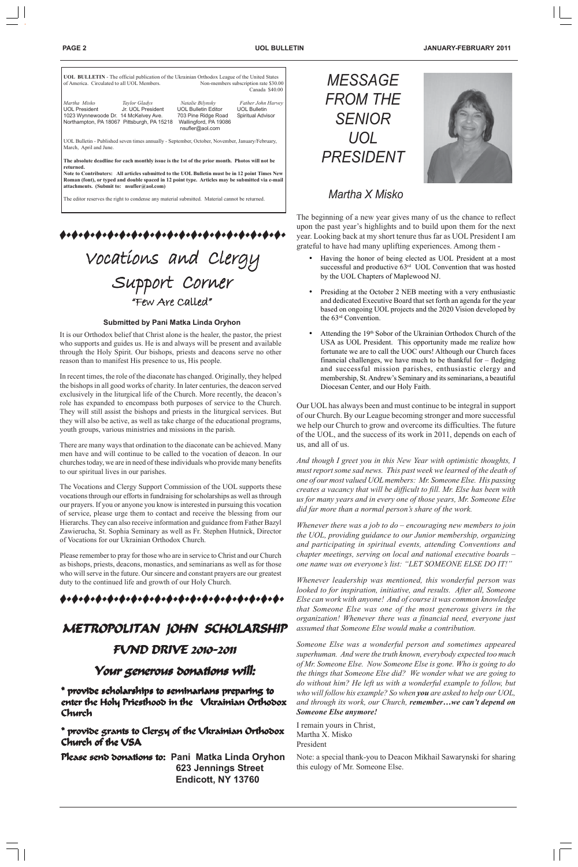|                                                                              |                                                                                  |                                                                                                                                                                                                   | Canada \$40.00                                                        |
|------------------------------------------------------------------------------|----------------------------------------------------------------------------------|---------------------------------------------------------------------------------------------------------------------------------------------------------------------------------------------------|-----------------------------------------------------------------------|
| Martha Misko<br><b>UOL President</b><br>1023 Wynnewoode Dr. 14 McKelvey Ave. | Taylor Gladys<br>Jr. UOL President<br>Northampton, PA 18067 Pittsburgh, PA 15218 | Natalie Bilynsky<br><b>UOL Bulletin Editor</b><br>703 Pine Ridge Road<br>Wallingford, PA 19086<br>nsufler@aol.com                                                                                 | Father John Harvey<br><b>UOL Bulletin</b><br><b>Spiritual Advisor</b> |
| March, April and June.                                                       |                                                                                  | UOL Bulletin - Published seven times annually - September, October, November, January/February,                                                                                                   |                                                                       |
| returned.                                                                    |                                                                                  | The absolute deadline for each monthly issue is the 1st of the prior month. Photos will not be                                                                                                    |                                                                       |
| attachments. (Submit to: nsufler@aol.com)                                    |                                                                                  | Note to Contributers: All articles submitted to the UOL Bulletin must be in 12 point Times New<br>Roman (font), or typed and double spaced in 12 point type. Articles may be submitted via e-mail |                                                                       |
|                                                                              |                                                                                  | The editor reserves the right to condense any material submitted. Material cannot be returned.                                                                                                    |                                                                       |

# Vocations and Clergy Support Corner "Few Are Called"

The beginning of a new year gives many of us the chance to reflect pon the past year's highlights and to build upon them for the next ear. Looking back at my short tenure thus far as UOL President I am grateful to have had many uplifting experiences. Among them -

|  | <b>PAGE</b> |  |  |
|--|-------------|--|--|
|--|-------------|--|--|

## *Martha X Misko*





#### **Submitted by Pani Matka Linda Oryhon**

### 

- Having the honor of being elected as UOL President at a most successful and productive 63<sup>rd</sup> UOL Convention that was hosted by the UOL Chapters of Maplewood NJ.
- Presiding at the October 2 NEB meeting with a very enthusiastic and dedicated Executive Board that set forth an agenda for the year based on ongoing UOL projects and the 2020 Vision developed by the 63rd Convention.
- Attending the 19th Sobor of the Ukrainian Orthodox Church of the USA as UOL President. This opportunity made me realize how fortunate we are to call the UOC ours! Although our Church faces financial challenges, we have much to be thankful for – fledging and successful mission parishes, enthusiastic clergy and membership, St. Andrew's Seminary and its seminarians, a beautiful Diocesan Center, and our Holy Faith.

Our UOL has always been and must continue to be integral in support of our Church. By our League becoming stronger and more successful we help our Church to grow and overcome its difficulties. The future of the UOL, and the success of its work in 2011, depends on each of us, and all of us.

1 *Someone Else was a wonderful person and sometimes appeared superhuman. And were the truth known, everybody expected too much of Mr. Someone Else. Now Someone Else is gone. Who is going to do the things that Someone Else did? We wonder what we are going to do without him? He left us with a wonderful example to follow, but who will follow his example? So when you are asked to help our UOL, and through its work, our Church, remember…we can't depend on Someone Else anymore!*

*And though I greet you in this New Year with optimistic thoughts, I must report some sad news. This past week we learned of the death of one of our most valued UOL members: Mr. Someone Else. His passing creates a vacancy that will be difficult to fill. Mr. Else has been with us for many years and in every one of those years, Mr. Someone Else did far more than a normal person's share of the work.*

*Whenever there was a job to do – encouraging new members to join the UOL, providing guidance to our Junior membership, organizing and participating in spiritual events, attending Conventions and chapter meetings, serving on local and national executive boards – one name was on everyone's list: "LET SOMEONE ELSE DO IT!"*

Please seno donations to: Pani Matka Linda Oryhon  **623 Jennings Street Endicott, NY 13760**

*Whenever leadership was mentioned, this wonderful person was looked to for inspiration, initiative, and results. After all, Someone Else can work with anyone! And of course it was common knowledge that Someone Else was one of the most generous givers in the organization! Whenever there was a financial need, everyone just assumed that Someone Else would make a contribution.*

# METROPOLITAN JOHN SCHOLARSHIP

I remain yours in Christ, Martha X. Misko President

Note: a special thank-you to Deacon Mikhail Sawarynski for sharing this eulogy of Mr. Someone Else.

It is our Orthodox belief that Christ alone is the healer, the pastor, the priest who supports and guides us. He is and always will be present and available through the Holy Spirit. Our bishops, priests and deacons serve no other reason than to manifest His presence to us, His people.

In recent times, the role of the diaconate has changed. Originally, they helped the bishops in all good works of charity. In later centuries, the deacon served exclusively in the liturgical life of the Church. More recently, the deacon's role has expanded to encompass both purposes of service to the Church. They will still assist the bishops and priests in the liturgical services. But they will also be active, as well as take charge of the educational programs, youth groups, various ministries and missions in the parish.

There are many ways that ordination to the diaconate can be achieved. Many men have and will continue to be called to the vocation of deacon. In our churches today, we are in need of these individuals who provide many benefits to our spiritual lives in our parishes.

The Vocations and Clergy Support Commission of the UOL supports these vocations through our efforts in fundraising for scholarships as well as through our prayers. If you or anyone you know is interested in pursuing this vocation of service, please urge them to contact and receive the blessing from our Hierarchs. They can also receive information and guidance from Father Bazyl Zawierucha, St. Sophia Seminary as well as Fr. Stephen Hutnick, Director of Vocations for our Ukrainian Orthodox Church.

Please remember to pray for those who are in service to Christ and our Church as bishops, priests, deacons, monastics, and seminarians as well as for those who will serve in the future. Our sincere and constant prayers are our greatest duty to the continued life and growth of our Holy Church.

## FUND DRIVE 2010-2011 FUND DRIVE 2010-2011 FUND 2010-2011

## Your generous donations will:

\* provide scholarships to seminarians preparing to enter the Holy Priesthood in the Ukrainian Orthodox Church

\* provide grants to Clergy of the Ukrainian Orthodox Church of the USA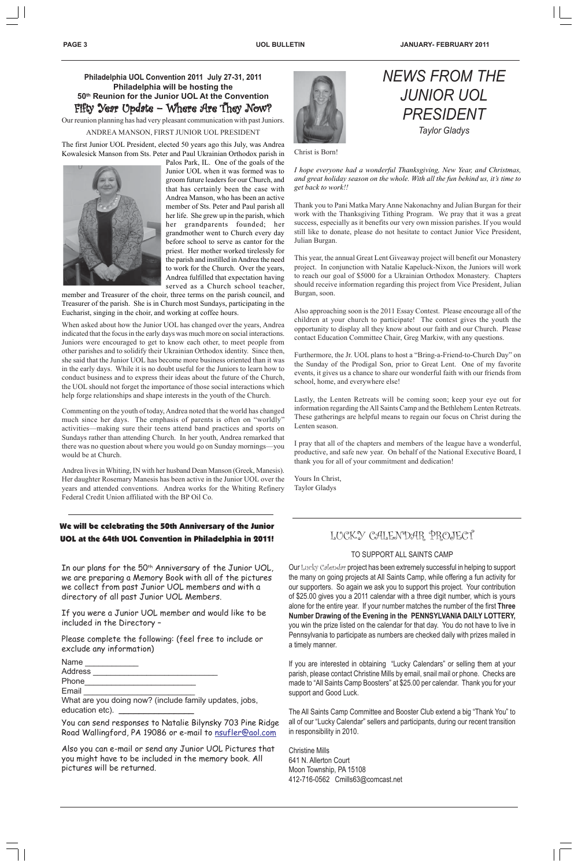**PAGE 3 UOL BULLETIN JANUARY- FEBRUARY 2011**



Christ is Born!

*I hope everyone had a wonderful Thanksgiving, New Year, and Christmas, and great holiday season on the whole. With all the fun behind us, it's time to get back to work!!*

Thank you to Pani Matka Mary Anne Nakonachny and Julian Burgan for their work with the Thanksgiving Tithing Program. We pray that it was a great success, especially as it benefits our very own mission parishes. If you would still like to donate, please do not hesitate to contact Junior Vice President, Julian Burgan.

This year, the annual Great Lent Giveaway project will benefit our Monastery project. In conjunction with Natalie Kapeluck-Nixon, the Juniors will work to reach our goal of \$5000 for a Ukrainian Orthodox Monastery. Chapters should receive information regarding this project from Vice President, Julian Burgan, soon.

Also approaching soon is the 2011 Essay Contest. Please encourage all of the children at your church to participate! The contest gives the youth the opportunity to display all they know about our faith and our Church. Please contact Education Committee Chair, Greg Markiw, with any questions.

Furthermore, the Jr. UOL plans to host a "Bring-a-Friend-to-Church Day" on the Sunday of the Prodigal Son, prior to Great Lent. One of my favorite events, it gives us a chance to share our wonderful faith with our friends from school, home, and everywhere else!

Lastly, the Lenten Retreats will be coming soon; keep your eye out for information regarding the All Saints Camp and the Bethlehem Lenten Retreats. These gatherings are helpful means to regain our focus on Christ during the Lenten season.

In our plans for the 50<sup>th</sup> Anniversary of the Junior UOL, we are preparing a Memory Book with all of the pictures we collect from past Junior UOL members and with a directory of all past Junior UOL Members.



I pray that all of the chapters and members of the league have a wonderful, productive, and safe new year. On behalf of the National Executive Board, I thank you for all of your commitment and dedication!

Yours In Christ, Taylor Gladys

You can send responses to Natalie Bilynsky 703 Pine Ridge Road Wallingford, PA 19086 or e-mail to nsufler@aol.com

## LUCKY CALENDAR PROJECT

#### TO SUPPORT ALL SAINTS CAMP

### **Philadelphia UOL Convention 2011 July 27-31, 2011 Philadelphia will be hosting the 50th Reunion for the Junior UOL At the Convention** Fifty Year Update – Where Are They Now?

Our Lucky Calendar project has been extremely successful in helping to support the many on going projects at All Saints Camp, while offering a fun activity for our supporters. So again we ask you to support this project. Your contribution of \$25.00 gives you a 2011 calendar with a three digit number, which is yours alone for the entire year. If your number matches the number of the first **Three Number Drawing of the Evening in the PENNSYLVANIA DAILY LOTTERY,** you win the prize listed on the calendar for that day. You do not have to live in Pennsylvania to participate as numbers are checked daily with prizes mailed in a timely manner.

If you are interested in obtaining "Lucky Calendars" or selling them at your parish, please contact Christine Mills by email, snail mail or phone. Checks are made to "All Saints Camp Boosters" at \$25.00 per calendar. Thank you for your support and Good Luck.

The All Saints Camp Committee and Booster Club extend a big "Thank You" to all of our "Lucky Calendar" sellers and participants, during our recent transition in responsibility in 2010.

Christine Mills 641 N. Allerton Court Moon Township, PA 15108 412-716-0562 Cmills63@comcast.net

### We will be celebrating the 50th Anniversary of the Junior UOL at the 64th UOL Convention in Philadelphia in 2011!

If you were a Junior UOL member and would like to be included in the Directory –

Please complete the following: (feel free to include or exclude any information)

Name

Address \_\_\_\_\_\_\_\_\_\_\_\_\_\_\_\_\_\_\_\_\_\_\_\_\_\_\_\_

Phone\_\_\_\_\_\_\_\_\_\_\_\_\_\_\_\_\_\_\_\_\_\_\_\_\_

Email \_\_\_\_\_\_\_\_\_\_\_\_\_\_\_\_\_\_\_\_\_\_\_\_\_

What are you doing now? (include family updates, jobs, education etc). \_\_\_\_\_\_\_\_\_\_\_\_\_\_\_

Also you can e-mail or send any Junior UOL Pictures that you might have to be included in the memory book. All pictures will be returned.

Our reunion planning has had very pleasant communication with past Juniors.

#### ANDREA MANSON, FIRST JUNIOR UOL PRESIDENT

The first Junior UOL President, elected 50 years ago this July, was Andrea Kowalesick Manson from Sts. Peter and Paul Ukrainian Orthodox parish in



Palos Park, IL. One of the goals of the Junior UOL when it was formed was to groom future leaders for our Church, and that has certainly been the case with Andrea Manson, who has been an active member of Sts. Peter and Paul parish all her life. She grew up in the parish, which her grandparents founded; her grandmother went to Church every day before school to serve as cantor for the priest. Her mother worked tirelessly for the parish and instilled in Andrea the need to work for the Church. Over the years, Andrea fulfilled that expectation having served as a Church school teacher,

member and Treasurer of the choir, three terms on the parish council, and Treasurer of the parish. She is in Church most Sundays, participating in the Eucharist, singing in the choir, and working at coffee hours.

When asked about how the Junior UOL has changed over the years, Andrea indicated that the focus in the early days was much more on social interactions. Juniors were encouraged to get to know each other, to meet people from other parishes and to solidify their Ukrainian Orthodox identity. Since then, she said that the Junior UOL has become more business oriented than it was in the early days. While it is no doubt useful for the Juniors to learn how to conduct business and to express their ideas about the future of the Church, the UOL should not forget the importance of those social interactions which help forge relationships and shape interests in the youth of the Church.

Commenting on the youth of today, Andrea noted that the world has changed much since her days. The emphasis of parents is often on "worldly" activities—making sure their teens attend band practices and sports on Sundays rather than attending Church. In her youth, Andrea remarked that there was no question about where you would go on Sunday mornings—you would be at Church.

Andrea lives in Whiting, IN with her husband Dean Manson (Greek, Manesis). Her daughter Rosemary Manesis has been active in the Junior UOL over the years and attended conventions. Andrea works for the Whiting Refinery Federal Credit Union affiliated with the BP Oil Co.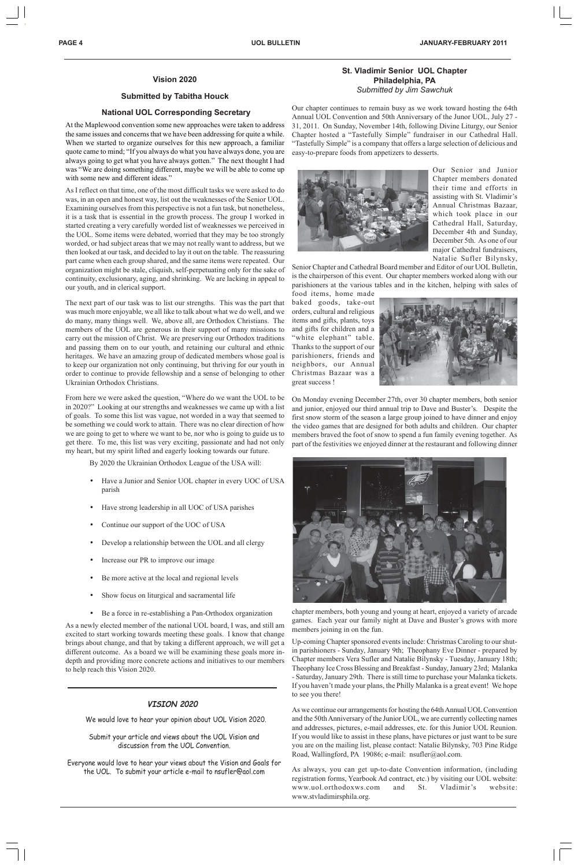#### **Vision 2020**

#### **Submitted by Tabitha Houck**

#### **National UOL Corresponding Secretary**

At the Maplewood convention some new approaches were taken to address the same issues and concerns that we have been addressing for quite a while. When we started to organize ourselves for this new approach, a familiar quote came to mind; "If you always do what you have always done, you are always going to get what you have always gotten." The next thought I had was "We are doing something different, maybe we will be able to come up with some new and different ideas."

As I reflect on that time, one of the most difficult tasks we were asked to do was, in an open and honest way, list out the weaknesses of the Senior UOL. Examining ourselves from this perspective is not a fun task, but nonetheless, it is a task that is essential in the growth process. The group I worked in started creating a very carefully worded list of weaknesses we perceived in the UOL. Some items were debated, worried that they may be too strongly worded, or had subject areas that we may not really want to address, but we then looked at our task, and decided to lay it out on the table. The reassuring part came when each group shared, and the same items were repeated. Our organization might be stale, cliquish, self-perpetuating only for the sake of continuity, exclusionary, aging, and shrinking. We are lacking in appeal to our youth, and in clerical support.

- Have a Junior and Senior UOL chapter in every UOC of USA parish
- Have strong leadership in all UOC of USA parishes
- Continue our support of the UOC of USA
- Develop a relationship between the UOL and all clergy
- Increase our PR to improve our image
- Be more active at the local and regional levels
- Show focus on liturgical and sacramental life

The next part of our task was to list our strengths. This was the part that was much more enjoyable, we all like to talk about what we do well, and we do many, many things well. We, above all, are Orthodox Christians. The members of the UOL are generous in their support of many missions to carry out the mission of Christ. We are preserving our Orthodox traditions and passing them on to our youth, and retaining our cultural and ethnic heritages. We have an amazing group of dedicated members whose goal is to keep our organization not only continuing, but thriving for our youth in order to continue to provide fellowship and a sense of belonging to other Ukrainian Orthodox Christians.

From here we were asked the question, "Where do we want the UOL to be in 2020?" Looking at our strengths and weaknesses we came up with a list of goals. To some this list was vague, not worded in a way that seemed to be something we could work to attain. There was no clear direction of how we are going to get to where we want to be, nor who is going to guide us to get there. To me, this list was very exciting, passionate and had not only my heart, but my spirit lifted and eagerly looking towards our future.

By 2020 the Ukrainian Orthodox League of the USA will:

• Be a force in re-establishing a Pan-Orthodox organization

As a newly elected member of the national UOL board, I was, and still am excited to start working towards meeting these goals. I know that change brings about change, and that by taking a different approach, we will get a different outcome. As a board we will be examining these goals more indepth and providing more concrete actions and initiatives to our members to help reach this Vision 2020.

#### **St. Vladimir Senior UOL Chapter Philadelphia, PA** *Submitted by Jim Sawchuk*

Our chapter continues to remain busy as we work toward hosting the 64th Annual UOL Convention and 50th Anniversary of the Junor UOL, July 27 - 31, 2011. On Sunday, November 14th, following Divine Liturgy, our Senior Chapter hosted a "Tastefully Simple" fundraiser in our Cathedral Hall. "Tastefully Simple" is a company that offers a large selection of delicious and easy-to-prepare foods from appetizers to desserts.



Our Senior and Junior Chapter members donated their time and efforts in assisting with St. Vladimir's Annual Christmas Bazaar, which took place in our Cathedral Hall, Saturday, December 4th and Sunday, December 5th. As one of our major Cathedral fundraisers, Natalie Sufler Bilynsky,

Senior Chapter and Cathedral Board member and Editor of our UOL Bulletin, is the chairperson of this event. Our chapter members worked along with our parishioners at the various tables and in the kitchen, helping with sales of food items, home made

baked goods, take-out orders, cultural and religious items and gifts, plants, toys and gifts for children and a "white elephant" table. Thanks to the support of our parishioners, friends and neighbors, our Annual Christmas Bazaar was a great success !



On Monday evening December 27th, over 30 chapter members, both senior and junior, enjoyed our third annual trip to Dave and Buster's. Despite the first snow storm of the season a large group joined to have dinner and enjoy the video games that are designed for both adults and children. Our chapter members braved the foot of snow to spend a fun family evening together. As part of the festivities we enjoyed dinner at the restaurant and following dinner



chapter members, both young and young at heart, enjoyed a variety of arcade games. Each year our family night at Dave and Buster's grows with more members joining in on the fun.

Up-coming Chapter sponsored events include: Christmas Caroling to our shutin parishioners - Sunday, January 9th; Theophany Eve Dinner - prepared by Chapter members Vera Sufler and Natalie Bilynsky - Tuesday, January 18th; Theophany Ice Cross Blessing and Breakfast - Sunday, January 23rd; Malanka - Saturday, January 29th. There is still time to purchase your Malanka tickets. If you haven't made your plans, the Philly Malanka is a great event! We hope to see you there!

As we continue our arrangements for hosting the 64th Annual UOL Convention and the 50th Anniversary of the Junior UOL, we are currently collecting names and addresses, pictures, e-mail addresses, etc. for this Junior UOL Reunion. If you would like to assist in these plans, have pictures or just want to be sure you are on the mailing list, please contact: Natalie Bilynsky, 703 Pine Ridge Road, Wallingford, PA 19086; e-mail: nsufler@aol.com.

As always, you can get up-to-date Convention information, (including registration forms, Yearbook Ad contract, etc.) by visiting our UOL website: www.uol.orthodoxws.com and St. Vladimir's website: www.stvladimirsphila.org.

Submit your article and views about the UOL Vision and discussion from the UOL Convention.

Everyone would love to hear your views about the Vision and Goals for the UOL. To submit your article e-mail to nsufler@aol.com

#### **VISION 2020**

We would love to hear your opinion about UOL Vision 2020.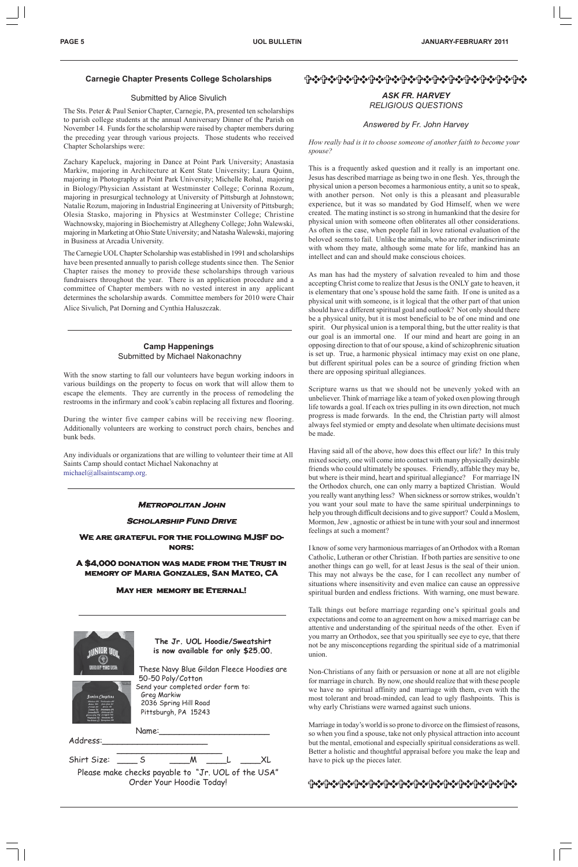#### **Metropolitan John**

#### **Scholarship Fund Drive**

#### **We are grateful for the following MJSF do- wing MJSF donors:**

**A \$4,000 donation was made from the Trust in memory of Maria Gonzales, San Mateo, CA**

#### **May her memory be Eternal!**

#### FOTO DECEMBING TO THE POST POST TO THE POST POST TO THE POST TO THE POST TO THE POST TO THE POST TO THE POST T

#### *ASK FR. HARVEY RELIGIOUS QUESTIONS*

*Answered by Fr. John Harvey*



*How really bad is it to choose someone of another faith to become your spouse?*

This is a frequently asked question and it really is an important one. Jesus has described marriage as being two in one flesh. Yes, through the physical union a person becomes a harmonious entity, a unit so to speak, with another person. Not only is this a pleasant and pleasurable experience, but it was so mandated by God Himself, when we were created. The mating instinct is so strong in humankind that the desire for physical union with someone often obliterates all other considerations. As often is the case, when people fall in love rational evaluation of the beloved seems to fail. Unlike the animals, who are rather indiscriminate with whom they mate, although some mate for life, mankind has an intellect and can and should make conscious choices.

As man has had the mystery of salvation revealed to him and those accepting Christ come to realize that Jesus is the ONLY gate to heaven, it is elementary that one's spouse hold the same faith. If one is united as a physical unit with someone, is it logical that the other part of that union should have a different spiritual goal and outlook? Not only should there be a physical unity, but it is most beneficial to be of one mind and one spirit. Our physical union is a temporal thing, but the utter reality is that our goal is an immortal one. If our mind and heart are going in an opposing direction to that of our spouse, a kind of schizophrenic situation is set up. True, a harmonic physical intimacy may exist on one plane, but different spiritual poles can be a source of grinding friction when there are opposing spiritual allegiances.

Scripture warns us that we should not be unevenly yoked with an unbeliever. Think of marriage like a team of yoked oxen plowing through life towards a goal. If each ox tries pulling in its own direction, not much progress is made forwards. In the end, the Christian party will almost always feel stymied or empty and desolate when ultimate decisions must be made.

Having said all of the above, how does this effect our life? In this truly mixed society, one will come into contact with many physically desirable friends who could ultimately be spouses. Friendly, affable they may be, but where is their mind, heart and spiritual allegiance? For marriage IN the Orthodox church, one can only marry a baptized Christian. Would you really want anything less? When sickness or sorrow strikes, wouldn't you want your soul mate to have the same spiritual underpinnings to help you through difficult decisions and to give support? Could a Moslem, Mormon, Jew , agnostic or athiest be in tune with your soul and innermost feelings at such a moment?

I know of some very harmonious marriages of an Orthodox with a Roman Catholic, Lutheran or other Christian. If both parties are sensitive to one another things can go well, for at least Jesus is the seal of their union. This may not always be the case, for I can recollect any number of situations where insensitivity and even malice can cause an oppressive spiritual burden and endless frictions. With warning, one must beware.

Talk things out before marriage regarding one's spiritual goals and expectations and come to an agreement on how a mixed marriage can be attentive and understanding of the spiritual needs of the other. Even if you marry an Orthodox, see that you spiritually see eye to eye, that there not be any misconceptions regarding the spiritual side of a matrimonial union.

Non-Christians of any faith or persuasion or none at all are not eligible for marriage in church. By now, one should realize that with these people we have no spiritual affinity and marriage with them, even with the most tolerant and broad-minded, can lead to ugly flashpoints. This is why early Christians were warned against such unions.

Marriage in today's world is so prone to divorce on the flimsiest of reasons, so when you find a spouse, take not only physical attraction into account but the mental, emotional and especially spiritual considerations as well. Better a holistic and thoughtful appraisal before you make the leap and have to pick up the pieces later.

## **ተቀናተውንተውንተውንተውንተውንተውንተውንተውንተውንተውንተውን**

#### **Camp Happenings** Submitted by Michael Nakonachny

With the snow starting to fall our volunteers have begun working indoors in various buildings on the property to focus on work that will allow them to escape the elements. They are currently in the process of remodeling the restrooms in the infirmary and cook's cabin replacing all fixtures and flooring.

During the winter five camper cabins will be receiving new flooring. Additionally volunteers are working to construct porch chairs, benches and bunk beds.

Any individuals or organizations that are willing to volunteer their time at All Saints Camp should contact Michael Nakonachny at michael@allsaintscamp.org.

#### **Carnegie Chapter Presents College Scholarships**

#### Submitted by Alice Sivulich

The Sts. Peter & Paul Senior Chapter, Carnegie, PA, presented ten scholarships to parish college students at the annual Anniversary Dinner of the Parish on November 14. Funds for the scholarship were raised by chapter members during the preceding year through various projects. Those students who received Chapter Scholarships were:

Zachary Kapeluck, majoring in Dance at Point Park University; Anastasia Markiw, majoring in Architecture at Kent State University; Laura Quinn, majoring in Photography at Point Park University; Michelle Rohal, majoring in Biology/Physician Assistant at Westminster College; Corinna Rozum, majoring in presurgical technology at University of Pittsburgh at Johnstown; Natalie Rozum, majoring in Industrial Engineering at University of Pittsburgh; Olesia Stasko, majoring in Physics at Westminster College; Christine Wachnowsky, majoring in Biochemistry at Allegheny College; John Walewski, majoring in Marketing at Ohio State University; and Natasha Walewski, majoring in Business at Arcadia University.

The Carnegie UOL Chapter Scholarship was established in 1991 and scholarships have been presented annually to parish college students since then. The Senior Chapter raises the money to provide these scholarships through various fundraisers throughout the year. There is an application procedure and a committee of Chapter members with no vested interest in any applicant determines the scholarship awards. Committee members for 2010 were Chair Alice Sivulich, Pat Dorning and Cynthia Haluszczak.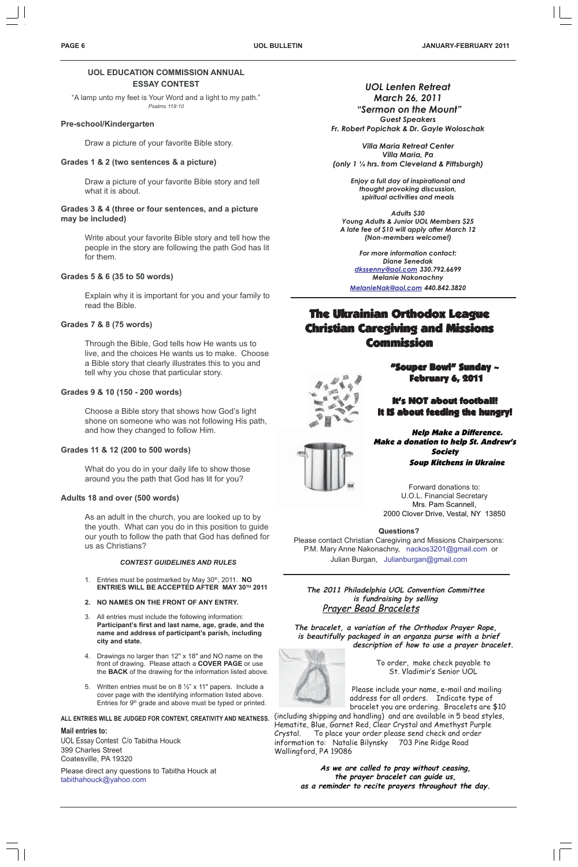**UOL EDUCATION COMMISSION ANNUAL ESSAY CONTEST**

"A lamp unto my feet is Your Word and a light to my path." *Psalms 119:10*

#### **Pre-school/Kindergarten**

Draw a picture of your favorite Bible story.

#### **Grades 1 & 2 (two sentences & a picture)**

Draw a picture of your favorite Bible story and tell what it is about.

#### **Grades 3 & 4 (three or four sentences, and a picture may be included)**

Write about your favorite Bible story and tell how the people in the story are following the path God has lit for them.

#### **Grades 5 & 6 (35 to 50 words)**

Explain why it is important for you and your family to read the Bible.

#### **Grades 7 & 8 (75 words)**

Through the Bible, God tells how He wants us to live, and the choices He wants us to make. Choose a Bible story that clearly illustrates this to you and tell why you chose that particular story.

- 1. Entries must be postmarked by May 30<sup>th</sup>, 2011. **NO ENTRIES WILL BE ACCEPTED AFTER MAY 30TH 2011**
- **2. NO NAMES ON THE FRONT OF ANY ENTRY.**
- 
- 3. All entries must include the following information: **Participant's first and last name, age, grade, and the name and address of participant's parish, including city and state.**
- 4. Drawings no larger than 12" x 18" and NO name on the front of drawing. Please attach a **COVER PAGE** or use the **BACK** of the drawing for the information listed above.
- 5. Written entries must be on 8 ½" x 11" papers. Include a cover page with the identifying information listed above. Entries for 9<sup>th</sup> grade and above must be typed or printed.

#### **Grades 9 & 10 (150 - 200 words)**

Choose a Bible story that shows how God's light shone on someone who was not following His path, and how they changed to follow Him.

#### **Grades 11 & 12 (200 to 500 words)**

What do you do in your daily life to show those around you the path that God has lit for you?

#### **Adults 18 and over (500 words)**

As an adult in the church, you are looked up to by the youth. What can you do in this position to guide our youth to follow the path that God has defined for us as Christians?

#### *CONTEST GUIDELINES AND RULES*

## **The Ukrainian Orthodox League** Christian Caregiving and Missions Christian Caregiving and Missions Commission Commission



#### **ALL ENTRIES WILL BE JUDGED FOR CONTENT, CREATIVITY AND NEATNESS.**

#### **Mail entries to:**

UOL Essay Contest C/o Tabitha Houck 399 Charles Street Coatesville, PA 19320

Please direct any questions to Tabitha Houck at tabithahouck@yahoo.com

*UOL Lenten Retreat March 26, 2011*

 *"Sermon on the Mount" Guest Speakers Fr. Robert Popichak & Dr. Gayle Woloschak*

*Villa Maria Retreat Center Villa Maria, Pa (only 1 ¼ hrs. from Cleveland & Pittsburgh)*

> *Enjoy a full day of inspirational and thought provoking discussion, spiritual activities and meals*

*Adults \$30 Young Adults & Junior UOL Members \$25 A late fee of \$10 will apply after March 12 (Non-members welcome!)*

*For more information contact: Diane Senedak dkssenny@aol.com 330.792.6699 Melanie Nakonachny*

*MelanieNak@aol.com 440.842.3820*



It's NOT about football! It IS about feeding the hungry!

Help Make a Difference. Make a donation to help St. Andrew's Society Soup Kitchens in Ukraine

Forward donations to: U.O.L. Financial Secretary Mrs. Pam Scannell, 2000 Clover Drive, Vestal, NY 13850

#### **Questions?**

Please contact Christian Caregiving and Missions Chairpersons: P.M. Mary Anne Nakonachny, nackos3201@gmail.com or Julian Burgan, Julianburgan@gmail.com

**The 2011 Philadelphia UOL Convention Committee is fundraising by selling**

## Prayer Bead Bracelets

**The bracelet, a variation of the Orthodox Prayer Rope, is beautifully packaged in an organza purse with a brief description of how to use a prayer bracelet.**



To order, make check payable to St. Vladimir's Senior UOL

 Please include your name, e-mail and mailing address for all orders. Indicate type of bracelet you are ordering. Bracelets are \$10

(including shipping and handling) and are available in 5 bead styles, Hematite, Blue, Garnet Red, Clear Crystal and Amethyst Purple Crystal. To place your order please send check and order information to: Natalie Bilynsky 703 Pine Ridge Road Wallingford, PA 19086

> **As we are called to pray without ceasing, the prayer bracelet can guide us, as a reminder to recite prayers throughout the day.**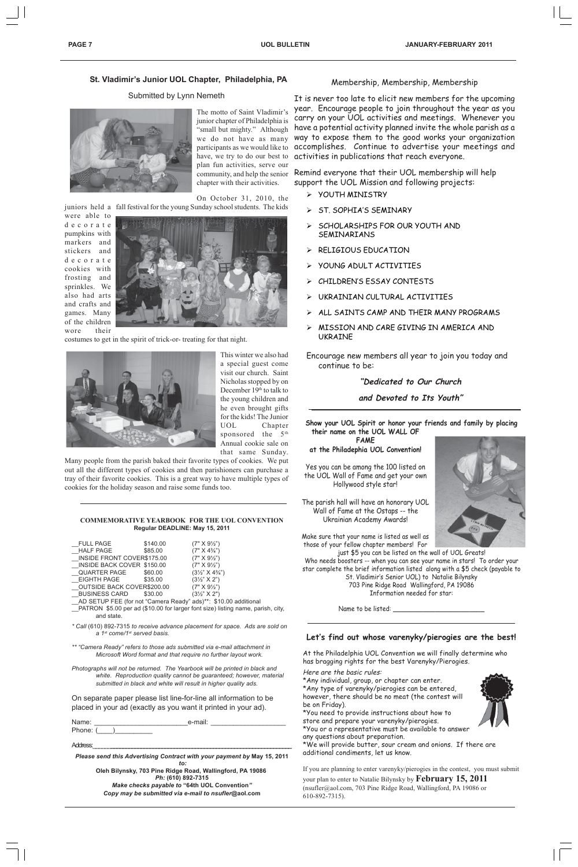#### **Let's find out whose varenyky/pierogies are the best!**

At the Philadelphia UOL Convention we will finally determine who has bragging rights for the best Varenyky/Pierogies.

Here are the basic rules:

\*Any individual, group, or chapter can enter.

\*Any type of varenyky/pierogies can be entered, however, there should be no meat (the contest will be on Friday).

\*You need to provide instructions about how to store and prepare your varenyky/pierogies. \*You or a representative must be available to answer

any questions about preparation.

\*We will provide butter, sour cream and onions. If there are additional condiments, let us know.

If you are planning to enter varenyky/pierogies in the contest, you must submit your plan to enter to Natalie Bilynsky by **February 15, 2011** (nsufler@aol.com, 703 Pine Ridge Road, Wallingford, PA 19086 or 610-892-7315).



**Show your UOL Spirit or honor your friends and family by placing their name on the UOL WALL OF**

**FAME at the Philadephia UOL Convention!**

Yes you can be among the 100 listed on the UOL Wall of Fame and get your own Hollywood style star!

The parish hall will have an honorary UOL Wall of Fame at the Ostaps -- the Ukrainian Academy Awards!

Make sure that your name is listed as well as those of your fellow chapter members! For

just \$5 you can be listed on the wall of UOL Greats! Who needs boosters -- when you can see your name in stars! To order your star complete the brief information listed along with a \$5 check (payable to St. Vladimir's Senior UOL) to Natalie Bilynsky 703 Pine Ridge Road Wallingford, PA 19086 Information needed for star:



#### Membership, Membership, Membership

| Name:    | e-mail: |  |
|----------|---------|--|
| Phone: ( |         |  |

It is never too late to elicit new members for the upcoming year. Encourage people to join throughout the year as you carry on your UOL activities and meetings. Whenever you have a potential activity planned invite the whole parish as a way to expose them to the good works your organization accomplishes. Continue to advertise your meetings and activities in publications that reach everyone.

Remind everyone that their UOL membership will help support the UOL Mission and following projects:

- ¾ YOUTH MINISTRY
- ¾ ST. SOPHIA'S SEMINARY
- ¾ SCHOLARSHIPS FOR OUR YOUTH AND SEMINARIANS
- ¾ RELIGIOUS EDUCATION
- ¾ YOUNG ADULT ACTIVITIES
- ¾ CHILDREN'S ESSAY CONTESTS
- ¾ UKRAINIAN CULTURAL ACTIVITIES
- ¾ ALL SAINTS CAMP AND THEIR MANY PROGRAMS
- ¾ MISSION AND CARE GIVING IN AMERICA AND UKRAINE

Encourage new members all year to join you today and continue to be:

#### **"Dedicated to Our Church**

**and Devoted to Its Youth"**

#### **COMMEMORATIVE YEARBOOK FOR THE UOL CONVENTION Regular DEADLINE: May 15, 2011**

| <b>FULL PAGE</b>            | \$140.00 | $(7" X 9\frac{1}{2})$                                           |
|-----------------------------|----------|-----------------------------------------------------------------|
| HALF PAGE                   | \$85.00  | $(7" X 4\frac{3}{4})$                                           |
| INSIDE FRONT COVER\$175.00  |          | $(7" \times 9\frac{1}{2})$                                      |
| _INSIDE BACK COVER \$150.00 |          | $(7" X 9\frac{1}{2})$                                           |
| QUARTER PAGE                | \$60.00  | $(3\frac{1}{2}$ " X 4 $\frac{3}{4}$ ")                          |
| EIGHTH PAGE                 | \$35.00  | $(3\frac{1}{2}$ " X 2")                                         |
| OUTSIDE BACK COVER\$200.00  |          | $(7" X 9\frac{1}{2})$                                           |
| BUSINESS CARD               | \$30.00  | $(3\frac{1}{2}$ " X 2")                                         |
|                             |          | AD SETUP FEE (for not "Camera Ready" ads)**: \$10.00 additional |

- 
- \_\_PATRON \$5.00 per ad (\$10.00 for larger font size) listing name, parish, city, and state.
- *\* Call* (610) 892-7315 *to receive advance placement for space. Ads are sold on a 1st come/1st served basis.*
- *\*\* "Camera Ready" refers to those ads submitted via e-mail attachment in Microsoft Word format and that require no further layout work.*
- *Photographs will not be returned. The Yearbook will be printed in black and white. Reproduction quality cannot be guaranteed; however, material submitted in black and white will result in higher quality ads.*

On separate paper please list line-for-line all information to be placed in your ad (exactly as you want it printed in your ad).

Address:\_\_\_\_\_\_**\_\_\_\_\_\_\_\_\_\_\_\_\_\_\_\_\_\_\_\_\_\_\_\_\_\_\_\_\_\_\_\_\_\_\_\_\_\_\_\_\_\_\_\_\_\_\_\_\_\_\_\_\_\_\_\_\_\_\_\_**

*Please send this Advertising Contract with your payment by* **May 15, 2011**  *to:* **Oleh Bilynsky, 703 Pine Ridge Road, Wallingford, PA 19086** *Ph:* **(610) 892-7315** *Make checks payable to* **"64th UOL Convention***" Copy may be submitted via e-mail to nsufler***@aol.com**

Name to be listed:

#### **St. Vladimir's Junior UOL Chapter, Philadelphia, PA**

#### Submitted by Lynn Nemeth



The motto of Saint Vladimir's junior chapter of Philadelphia is "small but mighty." Although we do not have as many participants as we would like to have, we try to do our best to plan fun activities, serve our community, and help the senior chapter with their activities.

On October 31, 2010, the juniors held a fall festival for the young Sunday school students. The kids

were able to decorate pumpkins with markers and stickers and decorate cookies with frosting and sprinkles. We also had arts and crafts and games. Many of the children wore their



costumes to get in the spirit of trick-or- treating for that night.



This winter we also had a special guest come visit our church. Saint Nicholas stopped by on December 19<sup>th</sup> to talk to the young children and he even brought gifts for the kids! The Junior UOL Chapter sponsored the 5<sup>th</sup> Annual cookie sale on that same Sunday.

Many people from the parish baked their favorite types of cookies. We put out all the different types of cookies and then parishioners can purchase a tray of their favorite cookies. This is a great way to have multiple types of cookies for the holiday season and raise some funds too.